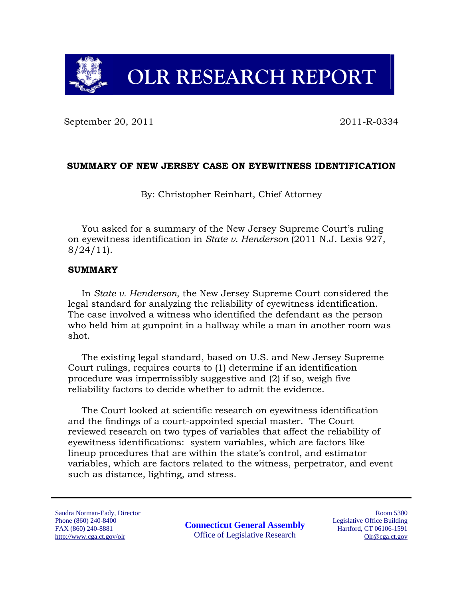**OLR RESEARCH REPORT** 

September 20, 2011 2011 2011-R-0334

# **SUMMARY OF NEW JERSEY CASE ON EYEWITNESS IDENTIFICATION**

By: Christopher Reinhart, Chief Attorney

You asked for a summary of the New Jersey Supreme Court's ruling on eyewitness identification in *State v. Henderson* (2011 N.J. Lexis 927, 8/24/11).

### **SUMMARY**

In *State v. Henderson*, the New Jersey Supreme Court considered the legal standard for analyzing the reliability of eyewitness identification. The case involved a witness who identified the defendant as the person who held him at gunpoint in a hallway while a man in another room was shot.

The existing legal standard, based on U.S. and New Jersey Supreme Court rulings, requires courts to (1) determine if an identification procedure was impermissibly suggestive and (2) if so, weigh five reliability factors to decide whether to admit the evidence.

The Court looked at scientific research on eyewitness identification and the findings of a court-appointed special master. The Court reviewed research on two types of variables that affect the reliability of eyewitness identifications: system variables, which are factors like lineup procedures that are within the state's control, and estimator variables, which are factors related to the witness, perpetrator, and event such as distance, lighting, and stress.

Sandra Norman-Eady, Director Phone (860) 240-8400 FAX (860) 240-8881 http://www.cga.ct.gov/olr

**Connecticut General Assembly**  Office of Legislative Research

Room 5300 Legislative Office Building Hartford, CT 06106-1591 Olr@cga.ct.gov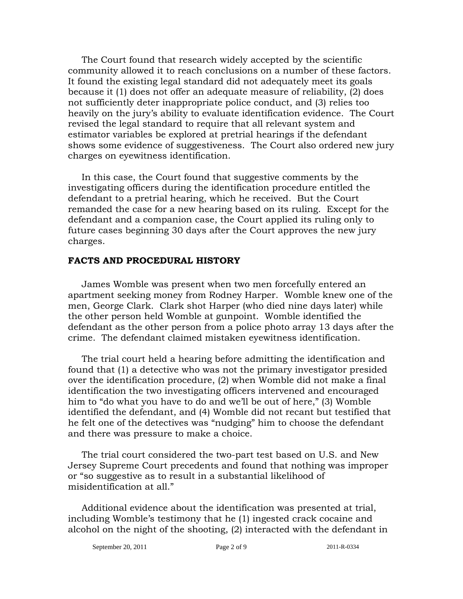The Court found that research widely accepted by the scientific community allowed it to reach conclusions on a number of these factors. It found the existing legal standard did not adequately meet its goals because it (1) does not offer an adequate measure of reliability, (2) does not sufficiently deter inappropriate police conduct, and (3) relies too heavily on the jury's ability to evaluate identification evidence. The Court revised the legal standard to require that all relevant system and estimator variables be explored at pretrial hearings if the defendant shows some evidence of suggestiveness. The Court also ordered new jury charges on eyewitness identification.

In this case, the Court found that suggestive comments by the investigating officers during the identification procedure entitled the defendant to a pretrial hearing, which he received. But the Court remanded the case for a new hearing based on its ruling. Except for the defendant and a companion case, the Court applied its ruling only to future cases beginning 30 days after the Court approves the new jury charges.

### **FACTS AND PROCEDURAL HISTORY**

James Womble was present when two men forcefully entered an apartment seeking money from Rodney Harper. Womble knew one of the men, George Clark. Clark shot Harper (who died nine days later) while the other person held Womble at gunpoint. Womble identified the defendant as the other person from a police photo array 13 days after the crime. The defendant claimed mistaken eyewitness identification.

The trial court held a hearing before admitting the identification and found that (1) a detective who was not the primary investigator presided over the identification procedure, (2) when Womble did not make a final identification the two investigating officers intervened and encouraged him to "do what you have to do and we'll be out of here," (3) Womble identified the defendant, and (4) Womble did not recant but testified that he felt one of the detectives was "nudging" him to choose the defendant and there was pressure to make a choice.

The trial court considered the two-part test based on U.S. and New Jersey Supreme Court precedents and found that nothing was improper or "so suggestive as to result in a substantial likelihood of misidentification at all."

Additional evidence about the identification was presented at trial, including Womble's testimony that he (1) ingested crack cocaine and alcohol on the night of the shooting, (2) interacted with the defendant in

September 20, 2011 **Page 2 of 9** 2011-R-0334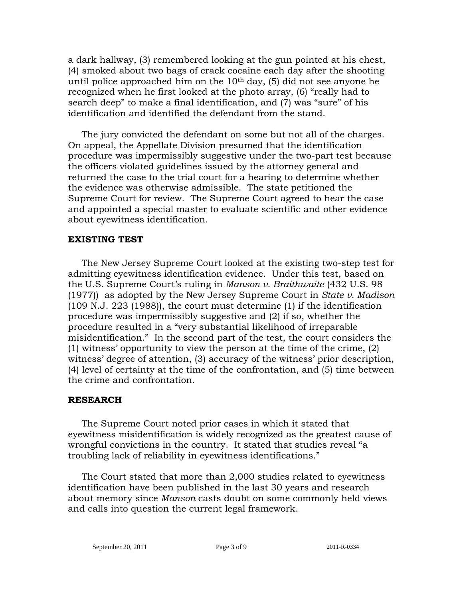a dark hallway, (3) remembered looking at the gun pointed at his chest, (4) smoked about two bags of crack cocaine each day after the shooting until police approached him on the  $10<sup>th</sup>$  day, (5) did not see anyone he recognized when he first looked at the photo array, (6) "really had to search deep" to make a final identification, and (7) was "sure" of his identification and identified the defendant from the stand.

The jury convicted the defendant on some but not all of the charges. On appeal, the Appellate Division presumed that the identification procedure was impermissibly suggestive under the two-part test because the officers violated guidelines issued by the attorney general and returned the case to the trial court for a hearing to determine whether the evidence was otherwise admissible. The state petitioned the Supreme Court for review. The Supreme Court agreed to hear the case and appointed a special master to evaluate scientific and other evidence about eyewitness identification.

#### **EXISTING TEST**

The New Jersey Supreme Court looked at the existing two-step test for admitting eyewitness identification evidence. Under this test, based on the U.S. Supreme Court's ruling in *Manson v. Braithwaite* (432 U.S. 98 (1977)) as adopted by the New Jersey Supreme Court in *State v. Madison* (109 N.J. 223 (1988)), the court must determine (1) if the identification procedure was impermissibly suggestive and (2) if so, whether the procedure resulted in a "very substantial likelihood of irreparable misidentification." In the second part of the test, the court considers the (1) witness' opportunity to view the person at the time of the crime, (2) witness' degree of attention, (3) accuracy of the witness' prior description, (4) level of certainty at the time of the confrontation, and (5) time between the crime and confrontation.

### **RESEARCH**

The Supreme Court noted prior cases in which it stated that eyewitness misidentification is widely recognized as the greatest cause of wrongful convictions in the country. It stated that studies reveal "a troubling lack of reliability in eyewitness identifications."

The Court stated that more than 2,000 studies related to eyewitness identification have been published in the last 30 years and research about memory since *Manson* casts doubt on some commonly held views and calls into question the current legal framework.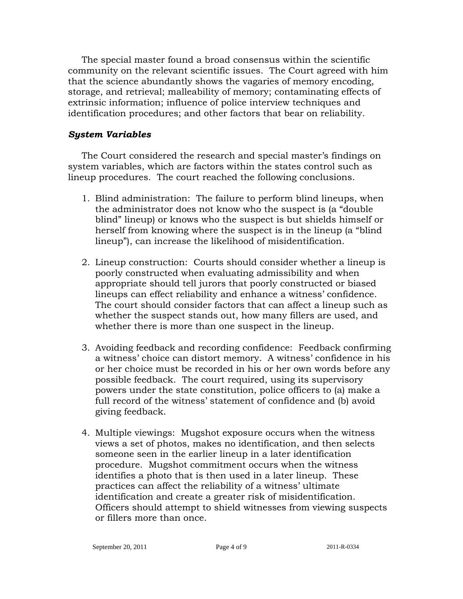The special master found a broad consensus within the scientific community on the relevant scientific issues. The Court agreed with him that the science abundantly shows the vagaries of memory encoding, storage, and retrieval; malleability of memory; contaminating effects of extrinsic information; influence of police interview techniques and identification procedures; and other factors that bear on reliability.

### *System Variables*

The Court considered the research and special master's findings on system variables, which are factors within the states control such as lineup procedures. The court reached the following conclusions.

- 1. Blind administration: The failure to perform blind lineups, when the administrator does not know who the suspect is (a "double blind" lineup) or knows who the suspect is but shields himself or herself from knowing where the suspect is in the lineup (a "blind lineup"), can increase the likelihood of misidentification.
- 2. Lineup construction: Courts should consider whether a lineup is poorly constructed when evaluating admissibility and when appropriate should tell jurors that poorly constructed or biased lineups can effect reliability and enhance a witness' confidence. The court should consider factors that can affect a lineup such as whether the suspect stands out, how many fillers are used, and whether there is more than one suspect in the lineup.
- 3. Avoiding feedback and recording confidence: Feedback confirming a witness' choice can distort memory. A witness' confidence in his or her choice must be recorded in his or her own words before any possible feedback. The court required, using its supervisory powers under the state constitution, police officers to (a) make a full record of the witness' statement of confidence and (b) avoid giving feedback.
- 4. Multiple viewings: Mugshot exposure occurs when the witness views a set of photos, makes no identification, and then selects someone seen in the earlier lineup in a later identification procedure. Mugshot commitment occurs when the witness identifies a photo that is then used in a later lineup. These practices can affect the reliability of a witness' ultimate identification and create a greater risk of misidentification. Officers should attempt to shield witnesses from viewing suspects or fillers more than once.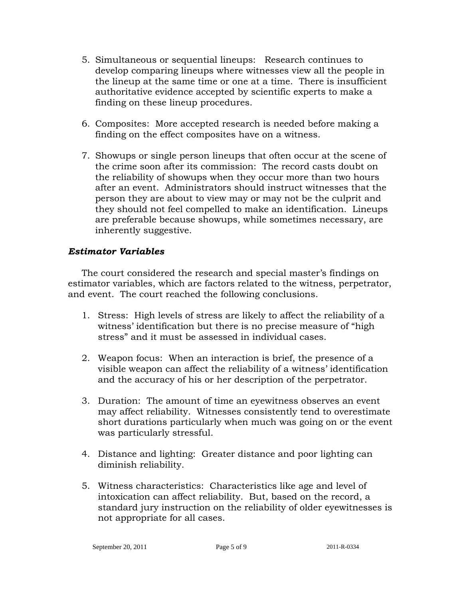- 5. Simultaneous or sequential lineups: Research continues to develop comparing lineups where witnesses view all the people in the lineup at the same time or one at a time. There is insufficient authoritative evidence accepted by scientific experts to make a finding on these lineup procedures.
- 6. Composites: More accepted research is needed before making a finding on the effect composites have on a witness.
- 7. Showups or single person lineups that often occur at the scene of the crime soon after its commission: The record casts doubt on the reliability of showups when they occur more than two hours after an event. Administrators should instruct witnesses that the person they are about to view may or may not be the culprit and they should not feel compelled to make an identification. Lineups are preferable because showups, while sometimes necessary, are inherently suggestive.

# *Estimator Variables*

The court considered the research and special master's findings on estimator variables, which are factors related to the witness, perpetrator, and event. The court reached the following conclusions.

- 1. Stress: High levels of stress are likely to affect the reliability of a witness' identification but there is no precise measure of "high stress" and it must be assessed in individual cases.
- 2. Weapon focus: When an interaction is brief, the presence of a visible weapon can affect the reliability of a witness' identification and the accuracy of his or her description of the perpetrator.
- 3. Duration: The amount of time an eyewitness observes an event may affect reliability. Witnesses consistently tend to overestimate short durations particularly when much was going on or the event was particularly stressful.
- 4. Distance and lighting: Greater distance and poor lighting can diminish reliability.
- 5. Witness characteristics: Characteristics like age and level of intoxication can affect reliability. But, based on the record, a standard jury instruction on the reliability of older eyewitnesses is not appropriate for all cases.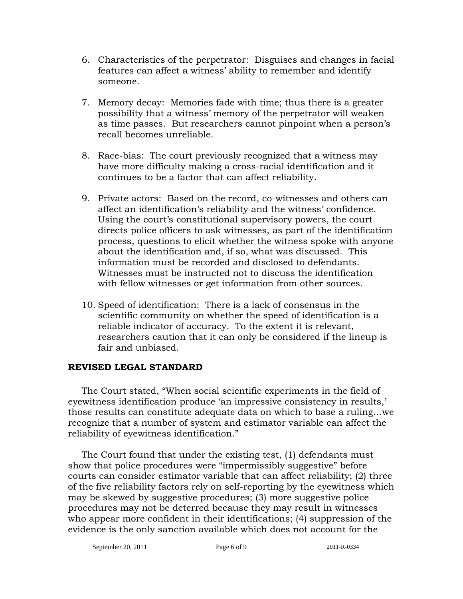- 6. Characteristics of the perpetrator: Disguises and changes in facial features can affect a witness' ability to remember and identify someone.
- 7. Memory decay: Memories fade with time; thus there is a greater possibility that a witness' memory of the perpetrator will weaken as time passes. But researchers cannot pinpoint when a person's recall becomes unreliable.
- 8. Race-bias: The court previously recognized that a witness may have more difficulty making a cross-racial identification and it continues to be a factor that can affect reliability.
- 9. Private actors: Based on the record, co-witnesses and others can affect an identification's reliability and the witness' confidence. Using the court's constitutional supervisory powers, the court directs police officers to ask witnesses, as part of the identification process, questions to elicit whether the witness spoke with anyone about the identification and, if so, what was discussed. This information must be recorded and disclosed to defendants. Witnesses must be instructed not to discuss the identification with fellow witnesses or get information from other sources.
- 10. Speed of identification: There is a lack of consensus in the scientific community on whether the speed of identification is a reliable indicator of accuracy. To the extent it is relevant, researchers caution that it can only be considered if the lineup is fair and unbiased.

# **REVISED LEGAL STANDARD**

The Court stated, "When social scientific experiments in the field of eyewitness identification produce 'an impressive consistency in results,' those results can constitute adequate data on which to base a ruling…we recognize that a number of system and estimator variable can affect the reliability of eyewitness identification."

The Court found that under the existing test, (1) defendants must show that police procedures were "impermissibly suggestive" before courts can consider estimator variable that can affect reliability; (2) three of the five reliability factors rely on self-reporting by the eyewitness which may be skewed by suggestive procedures; (3) more suggestive police procedures may not be deterred because they may result in witnesses who appear more confident in their identifications; (4) suppression of the evidence is the only sanction available which does not account for the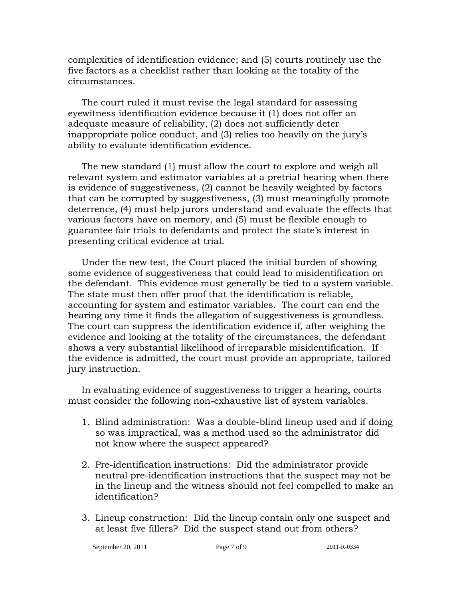complexities of identification evidence; and (5) courts routinely use the five factors as a checklist rather than looking at the totality of the circumstances.

The court ruled it must revise the legal standard for assessing eyewitness identification evidence because it (1) does not offer an adequate measure of reliability, (2) does not sufficiently deter inappropriate police conduct, and (3) relies too heavily on the jury's ability to evaluate identification evidence.

The new standard (1) must allow the court to explore and weigh all relevant system and estimator variables at a pretrial hearing when there is evidence of suggestiveness, (2) cannot be heavily weighted by factors that can be corrupted by suggestiveness, (3) must meaningfully promote deterrence, (4) must help jurors understand and evaluate the effects that various factors have on memory, and (5) must be flexible enough to guarantee fair trials to defendants and protect the state's interest in presenting critical evidence at trial.

Under the new test, the Court placed the initial burden of showing some evidence of suggestiveness that could lead to misidentification on the defendant. This evidence must generally be tied to a system variable. The state must then offer proof that the identification is reliable, accounting for system and estimator variables. The court can end the hearing any time it finds the allegation of suggestiveness is groundless. The court can suppress the identification evidence if, after weighing the evidence and looking at the totality of the circumstances, the defendant shows a very substantial likelihood of irreparable misidentification. If the evidence is admitted, the court must provide an appropriate, tailored jury instruction.

In evaluating evidence of suggestiveness to trigger a hearing, courts must consider the following non-exhaustive list of system variables.

- 1. Blind administration: Was a double-blind lineup used and if doing so was impractical, was a method used so the administrator did not know where the suspect appeared?
- 2. Pre-identification instructions: Did the administrator provide neutral pre-identification instructions that the suspect may not be in the lineup and the witness should not feel compelled to make an identification?
- 3. Lineup construction: Did the lineup contain only one suspect and at least five fillers? Did the suspect stand out from others?

September 20, 2011 Page 7 of 9 2011-R-0334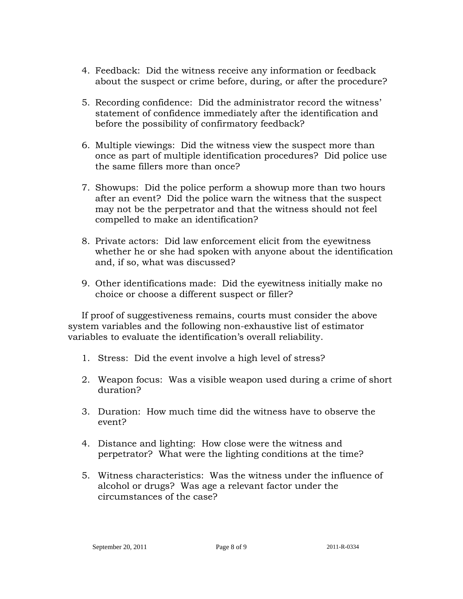- 4. Feedback: Did the witness receive any information or feedback about the suspect or crime before, during, or after the procedure?
- 5. Recording confidence: Did the administrator record the witness' statement of confidence immediately after the identification and before the possibility of confirmatory feedback?
- 6. Multiple viewings: Did the witness view the suspect more than once as part of multiple identification procedures? Did police use the same fillers more than once?
- 7. Showups: Did the police perform a showup more than two hours after an event? Did the police warn the witness that the suspect may not be the perpetrator and that the witness should not feel compelled to make an identification?
- 8. Private actors: Did law enforcement elicit from the eyewitness whether he or she had spoken with anyone about the identification and, if so, what was discussed?
- 9. Other identifications made: Did the eyewitness initially make no choice or choose a different suspect or filler?

If proof of suggestiveness remains, courts must consider the above system variables and the following non-exhaustive list of estimator variables to evaluate the identification's overall reliability.

- 1. Stress: Did the event involve a high level of stress?
- 2. Weapon focus: Was a visible weapon used during a crime of short duration?
- 3. Duration: How much time did the witness have to observe the event?
- 4. Distance and lighting: How close were the witness and perpetrator? What were the lighting conditions at the time?
- 5. Witness characteristics: Was the witness under the influence of alcohol or drugs? Was age a relevant factor under the circumstances of the case?